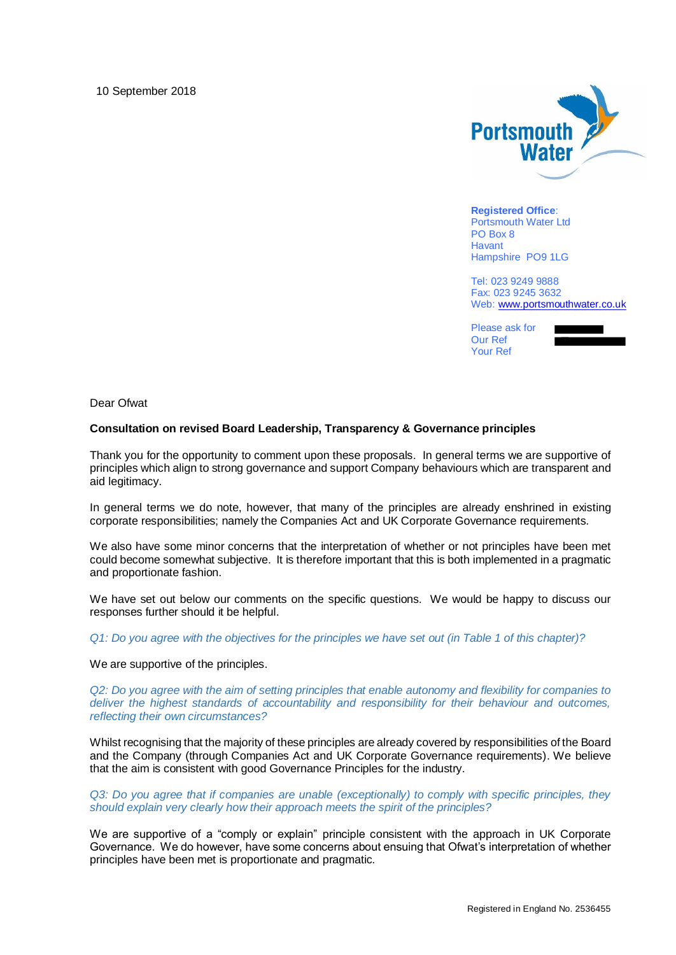10 September 2018



**Registered Office**: Portsmouth Water Ltd PO Box 8 Havant Hampshire PO9 1LG

Tel: 023 9249 9888 Fax: 023 9245 3632 Web: [www.portsmouthwater.co.uk](http://www.portsmouthwater.co.uk/)

Please ask for Our Ref Your Ref



Dear Ofwat

## **Consultation on revised Board Leadership, Transparency & Governance principles**

Thank you for the opportunity to comment upon these proposals. In general terms we are supportive of principles which align to strong governance and support Company behaviours which are transparent and aid legitimacy.

In general terms we do note, however, that many of the principles are already enshrined in existing corporate responsibilities; namely the Companies Act and UK Corporate Governance requirements.

We also have some minor concerns that the interpretation of whether or not principles have been met could become somewhat subjective. It is therefore important that this is both implemented in a pragmatic and proportionate fashion.

We have set out below our comments on the specific questions. We would be happy to discuss our responses further should it be helpful.

*Q1: Do you agree with the objectives for the principles we have set out (in Table 1 of this chapter)?* 

We are supportive of the principles.

*Q2: Do you agree with the aim of setting principles that enable autonomy and flexibility for companies to deliver the highest standards of accountability and responsibility for their behaviour and outcomes, reflecting their own circumstances?* 

Whilst recognising that the majority of these principles are already covered by responsibilities of the Board and the Company (through Companies Act and UK Corporate Governance requirements). We believe that the aim is consistent with good Governance Principles for the industry.

*Q3: Do you agree that if companies are unable (exceptionally) to comply with specific principles, they should explain very clearly how their approach meets the spirit of the principles?* 

We are supportive of a "comply or explain" principle consistent with the approach in UK Corporate Governance. We do however, have some concerns about ensuing that Ofwat's interpretation of whether principles have been met is proportionate and pragmatic.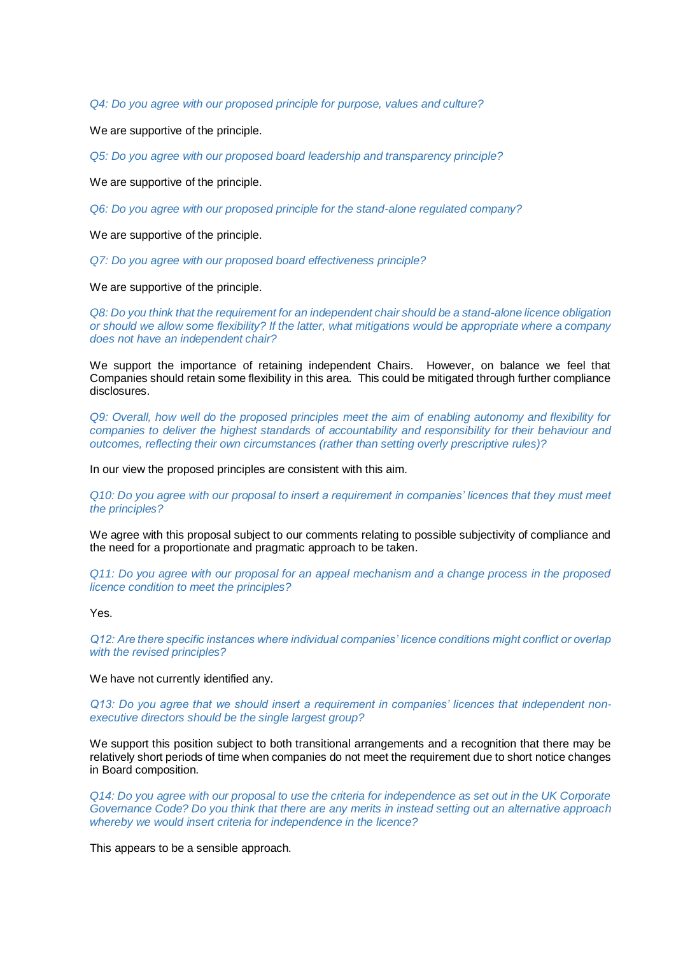*Q4: Do you agree with our proposed principle for purpose, values and culture?*

We are supportive of the principle.

*Q5: Do you agree with our proposed board leadership and transparency principle?* 

We are supportive of the principle.

*Q6: Do you agree with our proposed principle for the stand-alone regulated company?* 

We are supportive of the principle.

*Q7: Do you agree with our proposed board effectiveness principle?*

We are supportive of the principle.

*Q8: Do you think that the requirement for an independent chair should be a stand-alone licence obligation or should we allow some flexibility? If the latter, what mitigations would be appropriate where a company does not have an independent chair?* 

We support the importance of retaining independent Chairs. However, on balance we feel that Companies should retain some flexibility in this area. This could be mitigated through further compliance disclosures.

*Q9: Overall, how well do the proposed principles meet the aim of enabling autonomy and flexibility for companies to deliver the highest standards of accountability and responsibility for their behaviour and outcomes, reflecting their own circumstances (rather than setting overly prescriptive rules)?* 

In our view the proposed principles are consistent with this aim.

*Q10: Do you agree with our proposal to insert a requirement in companies' licences that they must meet the principles?* 

We agree with this proposal subject to our comments relating to possible subjectivity of compliance and the need for a proportionate and pragmatic approach to be taken.

*Q11: Do you agree with our proposal for an appeal mechanism and a change process in the proposed licence condition to meet the principles?* 

Yes.

*Q12: Are there specific instances where individual companies' licence conditions might conflict or overlap with the revised principles?* 

We have not currently identified any.

*Q13: Do you agree that we should insert a requirement in companies' licences that independent nonexecutive directors should be the single largest group?* 

We support this position subject to both transitional arrangements and a recognition that there may be relatively short periods of time when companies do not meet the requirement due to short notice changes in Board composition.

*Q14: Do you agree with our proposal to use the criteria for independence as set out in the UK Corporate Governance Code? Do you think that there are any merits in instead setting out an alternative approach whereby we would insert criteria for independence in the licence?* 

This appears to be a sensible approach.